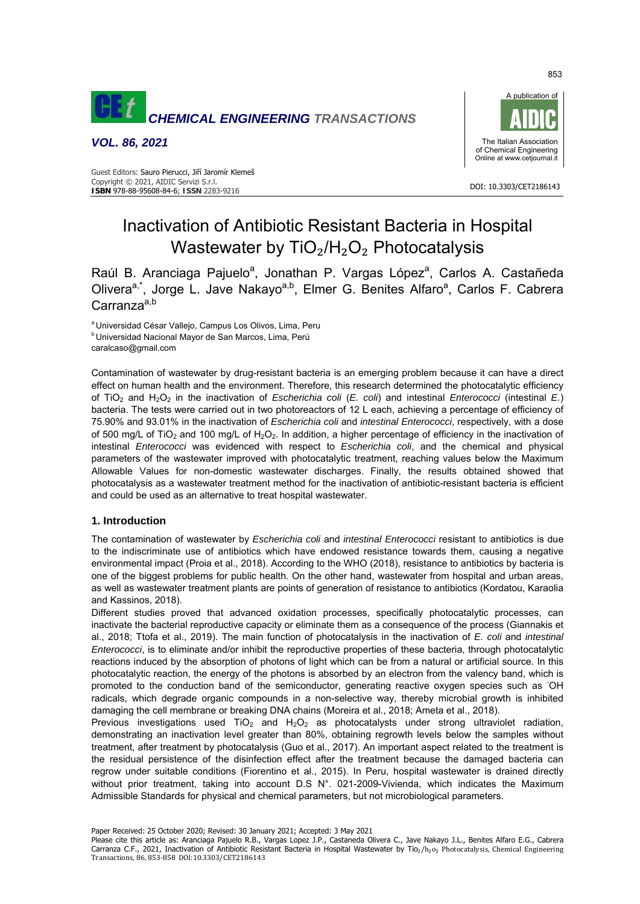

*VOL. 86, 2021* 



#### DOI: 10.3303/CET2186143 **ISBN** 978-88-95608-84-6; **ISSN** 2283-9216 Guest Editors: Sauro Pierucci, Jiří Jaromír Klemeš Copyright © 2021, AIDIC Servizi S.r.l.

# Inactivation of Antibiotic Resistant Bacteria in Hospital Wastewater by  $TiO<sub>2</sub>/H<sub>2</sub>O<sub>2</sub>$  Photocatalysis

Raúl B. Aranciaga Pajuelo<sup>a</sup>, Jonathan P. Vargas López<sup>a</sup>, Carlos A. Castañeda Olivera<sup>a,\*</sup>, Jorge L. Jave Nakayo<sup>a,b</sup>, Elmer G. Benites Alfaro<sup>a</sup>, Carlos F. Cabrera Carranza<sup>a,b</sup>

*a* Universidad César Vallejo, Campus Los Olivos, Lima, Peru<br><sup>b</sup> Universidad Nacional Mayor de San Marcos, Lima, Perú caralcaso@gmail.com

Contamination of wastewater by drug-resistant bacteria is an emerging problem because it can have a direct effect on human health and the environment. Therefore, this research determined the photocatalytic efficiency of TiO2 and H2O2 in the inactivation of *Escherichia coli* (*E. coli*) and intestinal *Enterococci* (intestinal *E.*) bacteria. The tests were carried out in two photoreactors of 12 L each, achieving a percentage of efficiency of 75.90% and 93.01% in the inactivation of *Escherichia coli* and *intestinal Enterococci*, respectively, with a dose of 500 mg/L of TiO<sub>2</sub> and 100 mg/L of H<sub>2</sub>O<sub>2</sub>. In addition, a higher percentage of efficiency in the inactivation of intestinal *Enterococci* was evidenced with respect to *Escherichia coli*, and the chemical and physical parameters of the wastewater improved with photocatalytic treatment, reaching values below the Maximum Allowable Values for non-domestic wastewater discharges. Finally, the results obtained showed that photocatalysis as a wastewater treatment method for the inactivation of antibiotic-resistant bacteria is efficient and could be used as an alternative to treat hospital wastewater.

# **1. Introduction**

The contamination of wastewater by *Escherichia coli* and *intestinal Enterococci* resistant to antibiotics is due to the indiscriminate use of antibiotics which have endowed resistance towards them, causing a negative environmental impact (Proia et al., 2018). According to the WHO (2018), resistance to antibiotics by bacteria is one of the biggest problems for public health. On the other hand, wastewater from hospital and urban areas, as well as wastewater treatment plants are points of generation of resistance to antibiotics (Kordatou, Karaolia and Kassinos, 2018).

Different studies proved that advanced oxidation processes, specifically photocatalytic processes, can inactivate the bacterial reproductive capacity or eliminate them as a consequence of the process (Giannakis et al., 2018; Ttofa et al., 2019). The main function of photocatalysis in the inactivation of *E. coli* and *intestinal Enterococci*, is to eliminate and/or inhibit the reproductive properties of these bacteria, through photocatalytic reactions induced by the absorption of photons of light which can be from a natural or artificial source. In this photocatalytic reaction, the energy of the photons is absorbed by an electron from the valency band, which is promoted to the conduction band of the semiconductor, generating reactive oxygen species such as OH radicals, which degrade organic compounds in a non-selective way, thereby microbial growth is inhibited damaging the cell membrane or breaking DNA chains (Moreira et al., 2018; Ameta et al., 2018).

Previous investigations used TiO<sub>2</sub> and H<sub>2</sub>O<sub>2</sub> as photocatalysts under strong ultraviolet radiation, demonstrating an inactivation level greater than 80%, obtaining regrowth levels below the samples without treatment, after treatment by photocatalysis (Guo et al., 2017). An important aspect related to the treatment is the residual persistence of the disinfection effect after the treatment because the damaged bacteria can regrow under suitable conditions (Fiorentino et al., 2015). In Peru, hospital wastewater is drained directly without prior treatment, taking into account D.S N°. 021-2009-Vivienda, which indicates the Maximum Admissible Standards for physical and chemical parameters, but not microbiological parameters.

Paper Received: 25 October 2020; Revised: 30 January 2021; Accepted: 3 May 2021

Please cite this article as: Aranciaga Pajuelo R.B., Vargas Lopez J.P., Castaneda Olivera C., Jave Nakayo J.L., Benites Alfaro E.G., Cabrera Carranza C.F., 2021, Inactivation of Antibiotic Resistant Bacteria in Hospital Wastewater by Tio<sub>2</sub>/h<sub>2</sub>o<sub>2</sub> Photocatalysis, Chemical Engineering Transactions, 86, 853-858 DOI:10.3303/CET2186143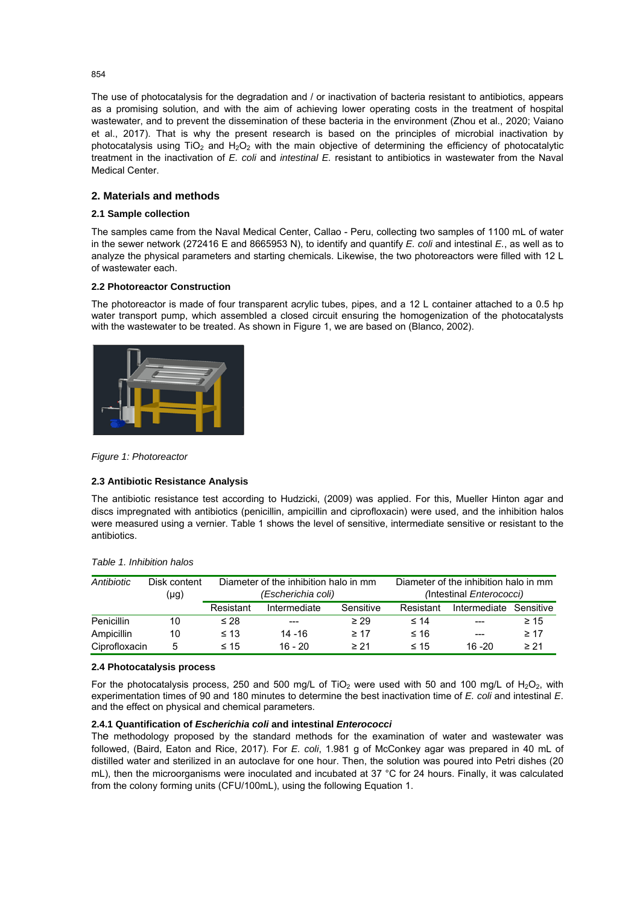The use of photocatalysis for the degradation and / or inactivation of bacteria resistant to antibiotics, appears as a promising solution, and with the aim of achieving lower operating costs in the treatment of hospital wastewater, and to prevent the dissemination of these bacteria in the environment (Zhou et al., 2020; Vaiano et al., 2017). That is why the present research is based on the principles of microbial inactivation by photocatalysis using TiO<sub>2</sub> and H<sub>2</sub>O<sub>2</sub> with the main objective of determining the efficiency of photocatalytic treatment in the inactivation of *E. coli* and *intestinal E.* resistant to antibiotics in wastewater from the Naval Medical Center.

# **2. Materials and methods**

## **2.1 Sample collection**

The samples came from the Naval Medical Center, Callao - Peru, collecting two samples of 1100 mL of water in the sewer network (272416 E and 8665953 N), to identify and quantify *E. coli* and intestinal *E.*, as well as to analyze the physical parameters and starting chemicals. Likewise, the two photoreactors were filled with 12 L of wastewater each.

## **2.2 Photoreactor Construction**

The photoreactor is made of four transparent acrylic tubes, pipes, and a 12 L container attached to a 0.5 hp water transport pump, which assembled a closed circuit ensuring the homogenization of the photocatalysts with the wastewater to be treated. As shown in Figure 1, we are based on (Blanco, 2002).



#### *Figure 1: Photoreactor*

#### **2.3 Antibiotic Resistance Analysis**

The antibiotic resistance test according to Hudzicki, (2009) was applied. For this, Mueller Hinton agar and discs impregnated with antibiotics (penicillin, ampicillin and ciprofloxacin) were used, and the inhibition halos were measured using a vernier. Table 1 shows the level of sensitive, intermediate sensitive or resistant to the antibiotics.

| Antibiotic        | Disk content | Diameter of the inhibition halo in mm |              |           | Diameter of the inhibition halo in mm |              |           |
|-------------------|--------------|---------------------------------------|--------------|-----------|---------------------------------------|--------------|-----------|
|                   | $(\mu g)$    | (Escherichia coli)                    |              |           | (Intestinal <i>Enterococci</i> )      |              |           |
|                   |              | Resistant                             | Intermediate | Sensitive | Resistant                             | Intermediate | Sensitive |
| <b>Penicillin</b> | 10           | $\leq 28$                             | $---$        | $\geq$ 29 | $\leq 14$                             |              | $\geq 15$ |
| Ampicillin        | 10           | $\leq 13$                             | 14 - 16      | $\geq 17$ | ≤ 16                                  | ---          | $\geq 17$ |
| Ciprofloxacin     | 5            | $\leq 15$                             | 16 - 20      | $\geq 21$ | $\leq 15$                             | $16 - 20$    | $\geq 21$ |

#### *Table 1. Inhibition halos*

#### **2.4 Photocatalysis process**

For the photocatalysis process, 250 and 500 mg/L of TiO<sub>2</sub> were used with 50 and 100 mg/L of H<sub>2</sub>O<sub>2</sub>, with experimentation times of 90 and 180 minutes to determine the best inactivation time of *E. coli* and intestinal *E*. and the effect on physical and chemical parameters.

## **2.4.1 Quantification of** *Escherichia coli* **and intestinal** *Enterococci*

The methodology proposed by the standard methods for the examination of water and wastewater was followed, (Baird, Eaton and Rice, 2017). For *E. coli*, 1.981 g of McConkey agar was prepared in 40 mL of distilled water and sterilized in an autoclave for one hour. Then, the solution was poured into Petri dishes (20 mL), then the microorganisms were inoculated and incubated at 37 °C for 24 hours. Finally, it was calculated from the colony forming units (CFU/100mL), using the following Equation 1.

854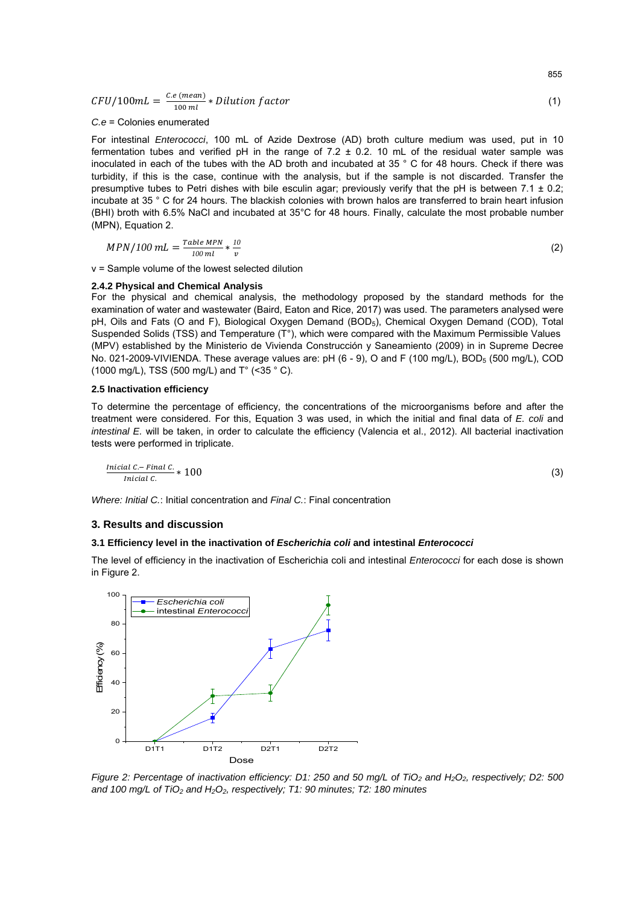$CFU/100mL = \frac{C.e (mean)}{100 ml}$ \* Dilution factor (1)

*C.e* = Colonies enumerated

For intestinal *Enterococci*, 100 mL of Azide Dextrose (AD) broth culture medium was used, put in 10 fermentation tubes and verified pH in the range of  $7.2 \pm 0.2$ . 10 mL of the residual water sample was inoculated in each of the tubes with the AD broth and incubated at 35 ° C for 48 hours. Check if there was turbidity, if this is the case, continue with the analysis, but if the sample is not discarded. Transfer the presumptive tubes to Petri dishes with bile esculin agar; previously verify that the pH is between 7.1 ± 0.2; incubate at 35 ° C for 24 hours. The blackish colonies with brown halos are transferred to brain heart infusion (BHI) broth with 6.5% NaCl and incubated at 35°C for 48 hours. Finally, calculate the most probable number (MPN), Equation 2.

$$
MPN/100 mL = \frac{Table MPN}{100 mL} * \frac{10}{v}
$$
 (2)

v = Sample volume of the lowest selected dilution

#### **2.4.2 Physical and Chemical Analysis**

For the physical and chemical analysis, the methodology proposed by the standard methods for the examination of water and wastewater (Baird, Eaton and Rice, 2017) was used. The parameters analysed were pH, Oils and Fats (O and F), Biological Oxygen Demand (BOD5), Chemical Oxygen Demand (COD), Total Suspended Solids (TSS) and Temperature  $(T^{\circ})$ , which were compared with the Maximum Permissible Values (MPV) established by the Ministerio de Vivienda Construcción y Saneamiento (2009) in in Supreme Decree No. 021-2009-VIVIENDA. These average values are:  $pH$  (6 - 9), O and F (100 mg/L), BOD<sub>5</sub> (500 mg/L), COD (1000 mg/L), TSS (500 mg/L) and T° (<35 ° C).

#### **2.5 Inactivation efficiency**

To determine the percentage of efficiency, the concentrations of the microorganisms before and after the treatment were considered. For this, Equation 3 was used, in which the initial and final data of *E. coli* and *intestinal E.* will be taken, in order to calculate the efficiency (Valencia et al., 2012). All bacterial inactivation tests were performed in triplicate.

$$
\frac{Initial\ C - Final\ C}{Initial\ C} * 100\tag{3}
$$

*Where: Initial C.*: Initial concentration and *Final C.*: Final concentration

## **3. Results and discussion**

## **3.1 Efficiency level in the inactivation of** *Escherichia coli* **and intestinal** *Enterococci*

The level of efficiency in the inactivation of Escherichia coli and intestinal *Enterococci* for each dose is shown in Figure 2.



*Figure 2: Percentage of inactivation efficiency: D1: 250 and 50 mg/L of TiO<sub>2</sub> and H<sub>2</sub>O<sub>2</sub>, respectively; D2: 500* and 100 mg/L of TiO<sub>2</sub> and H<sub>2</sub>O<sub>2</sub>, respectively; T1: 90 minutes; T2: 180 minutes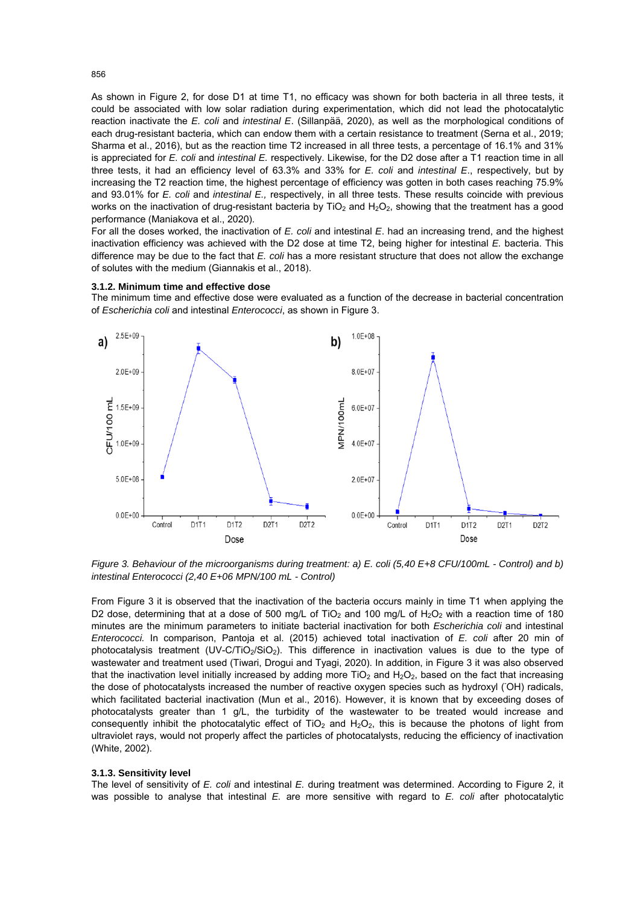As shown in Figure 2, for dose D1 at time T1, no efficacy was shown for both bacteria in all three tests, it could be associated with low solar radiation during experimentation, which did not lead the photocatalytic reaction inactivate the *E. coli* and *intestinal E*. (Sillanpää, 2020), as well as the morphological conditions of each drug-resistant bacteria, which can endow them with a certain resistance to treatment (Serna et al., 2019; Sharma et al., 2016), but as the reaction time T2 increased in all three tests, a percentage of 16.1% and 31% is appreciated for *E. coli* and *intestinal E.* respectively. Likewise, for the D2 dose after a T1 reaction time in all three tests, it had an efficiency level of 63.3% and 33% for *E. coli* and *intestinal E*., respectively, but by increasing the T2 reaction time, the highest percentage of efficiency was gotten in both cases reaching 75.9% and 93.01% for *E. coli* and *intestinal E.,* respectively, in all three tests. These results coincide with previous works on the inactivation of drug-resistant bacteria by  $TiO<sub>2</sub>$  and  $H<sub>2</sub>O<sub>2</sub>$ , showing that the treatment has a good performance (Maniakova et al., 2020).

For all the doses worked, the inactivation of *E. coli* and intestinal *E*. had an increasing trend, and the highest inactivation efficiency was achieved with the D2 dose at time T2, being higher for intestinal *E.* bacteria. This difference may be due to the fact that *E. coli* has a more resistant structure that does not allow the exchange of solutes with the medium (Giannakis et al., 2018).

#### **3.1.2. Minimum time and effective dose**

The minimum time and effective dose were evaluated as a function of the decrease in bacterial concentration of *Escherichia coli* and intestinal *Enterococci*, as shown in Figure 3.



*Figure 3. Behaviour of the microorganisms during treatment: a) E. coli (5,40 E+8 CFU/100mL - Control) and b) intestinal Enterococci (2,40 E+06 MPN/100 mL - Control)* 

From Figure 3 it is observed that the inactivation of the bacteria occurs mainly in time T1 when applying the D2 dose, determining that at a dose of 500 mg/L of TiO<sub>2</sub> and 100 mg/L of H<sub>2</sub>O<sub>2</sub> with a reaction time of 180 minutes are the minimum parameters to initiate bacterial inactivation for both *Escherichia coli* and intestinal *Enterococci.* In comparison, Pantoja et al. (2015) achieved total inactivation of *E. coli* after 20 min of photocatalysis treatment (UV-C/TiO<sub>2</sub>/SiO<sub>2</sub>). This difference in inactivation values is due to the type of wastewater and treatment used (Tiwari, Drogui and Tyagi, 2020). In addition, in Figure 3 it was also observed that the inactivation level initially increased by adding more TiO<sub>2</sub> and H<sub>2</sub>O<sub>2</sub>, based on the fact that increasing the dose of photocatalysts increased the number of reactive oxygen species such as hydroxyl (OH) radicals, which facilitated bacterial inactivation (Mun et al., 2016). However, it is known that by exceeding doses of photocatalysts greater than 1 g/L, the turbidity of the wastewater to be treated would increase and consequently inhibit the photocatalytic effect of  $TiO<sub>2</sub>$  and  $H<sub>2</sub>O<sub>2</sub>$ , this is because the photons of light from ultraviolet rays, would not properly affect the particles of photocatalysts, reducing the efficiency of inactivation (White, 2002).

#### **3.1.3. Sensitivity level**

The level of sensitivity of *E. coli* and intestinal *E.* during treatment was determined. According to Figure 2, it was possible to analyse that intestinal *E.* are more sensitive with regard to *E. coli* after photocatalytic

856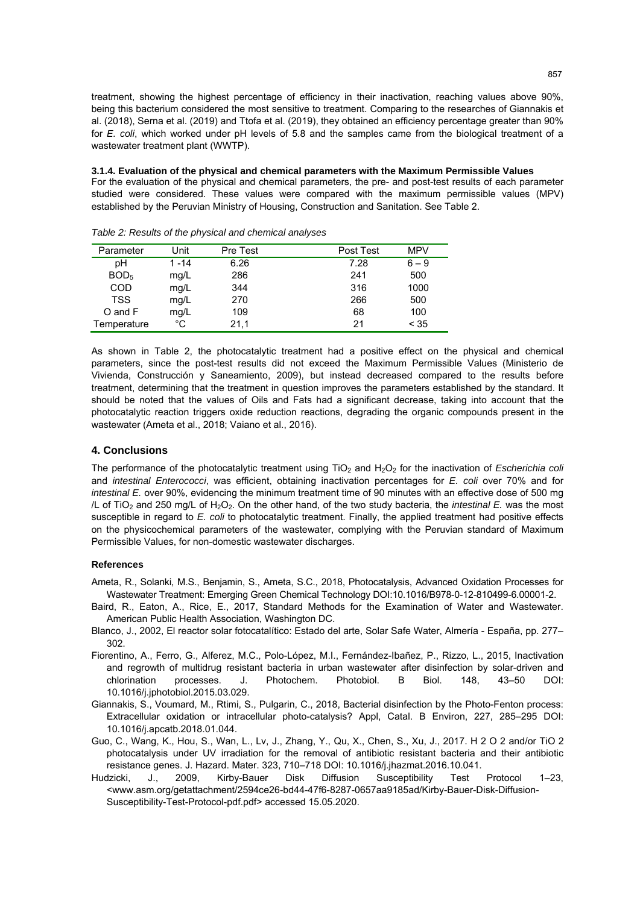treatment, showing the highest percentage of efficiency in their inactivation, reaching values above 90%, being this bacterium considered the most sensitive to treatment. Comparing to the researches of Giannakis et al. (2018), Serna et al. (2019) and Ttofa et al. (2019), they obtained an efficiency percentage greater than 90% for *E. coli*, which worked under pH levels of 5.8 and the samples came from the biological treatment of a wastewater treatment plant (WWTP).

**3.1.4. Evaluation of the physical and chemical parameters with the Maximum Permissible Values**  For the evaluation of the physical and chemical parameters, the pre- and post-test results of each parameter studied were considered. These values were compared with the maximum permissible values (MPV) established by the Peruvian Ministry of Housing, Construction and Sanitation. See Table 2.

| Parameter        | Unit     | Pre Test | Post Test | <b>MPV</b> |
|------------------|----------|----------|-----------|------------|
| рH               | $1 - 14$ | 6.26     | 7.28      | $6 - 9$    |
| BOD <sub>5</sub> | mg/L     | 286      | 241       | 500        |
| <b>COD</b>       | mg/L     | 344      | 316       | 1000       |
| <b>TSS</b>       | mg/L     | 270      | 266       | 500        |
| O and F          | mg/L     | 109      | 68        | 100        |
| Temperature      | °C       | 21,1     | 21        | < 35       |

*Table 2: Results of the physical and chemical analyses* 

As shown in Table 2, the photocatalytic treatment had a positive effect on the physical and chemical parameters, since the post-test results did not exceed the Maximum Permissible Values (Ministerio de Vivienda, Construcción y Saneamiento, 2009), but instead decreased compared to the results before treatment, determining that the treatment in question improves the parameters established by the standard. It should be noted that the values of Oils and Fats had a significant decrease, taking into account that the photocatalytic reaction triggers oxide reduction reactions, degrading the organic compounds present in the wastewater (Ameta et al., 2018; Vaiano et al., 2016).

## **4. Conclusions**

The performance of the photocatalytic treatment using TiO<sub>2</sub> and H<sub>2</sub>O<sub>2</sub> for the inactivation of *Escherichia coli* and *intestinal Enterococci*, was efficient, obtaining inactivation percentages for *E. coli* over 70% and for *intestinal E.* over 90%, evidencing the minimum treatment time of 90 minutes with an effective dose of 500 mg /L of TiO2 and 250 mg/L of H2O2. On the other hand, of the two study bacteria, the *intestinal E.* was the most susceptible in regard to *E. coli* to photocatalytic treatment. Finally, the applied treatment had positive effects on the physicochemical parameters of the wastewater, complying with the Peruvian standard of Maximum Permissible Values, for non-domestic wastewater discharges.

## **References**

- Ameta, R., Solanki, M.S., Benjamin, S., Ameta, S.C., 2018, Photocatalysis, Advanced Oxidation Processes for Wastewater Treatment: Emerging Green Chemical Technology DOI:10.1016/B978-0-12-810499-6.00001-2.
- Baird, R., Eaton, A., Rice, E., 2017, Standard Methods for the Examination of Water and Wastewater. American Public Health Association, Washington DC.
- Blanco, J., 2002, El reactor solar fotocatalítico: Estado del arte, Solar Safe Water, Almería España, pp. 277– 302.
- Fiorentino, A., Ferro, G., Alferez, M.C., Polo-López, M.I., Fernández-Ibañez, P., Rizzo, L., 2015, Inactivation and regrowth of multidrug resistant bacteria in urban wastewater after disinfection by solar-driven and chlorination processes. J. Photochem. Photobiol. B Biol. 148, 43–50 DOI: 10.1016/j.jphotobiol.2015.03.029.
- Giannakis, S., Voumard, M., Rtimi, S., Pulgarin, C., 2018, Bacterial disinfection by the Photo-Fenton process: Extracellular oxidation or intracellular photo-catalysis? Appl, Catal. B Environ, 227, 285–295 DOI: 10.1016/j.apcatb.2018.01.044.
- Guo, C., Wang, K., Hou, S., Wan, L., Lv, J., Zhang, Y., Qu, X., Chen, S., Xu, J., 2017. H 2 O 2 and/or TiO 2 photocatalysis under UV irradiation for the removal of antibiotic resistant bacteria and their antibiotic resistance genes. J. Hazard. Mater. 323, 710–718 DOI: 10.1016/j.jhazmat.2016.10.041.
- Hudzicki, J., 2009, Kirby-Bauer Disk Diffusion Susceptibility Test Protocol 1–23, <www.asm.org/getattachment/2594ce26-bd44-47f6-8287-0657aa9185ad/Kirby-Bauer-Disk-Diffusion-Susceptibility-Test-Protocol-pdf.pdf> accessed 15.05.2020.